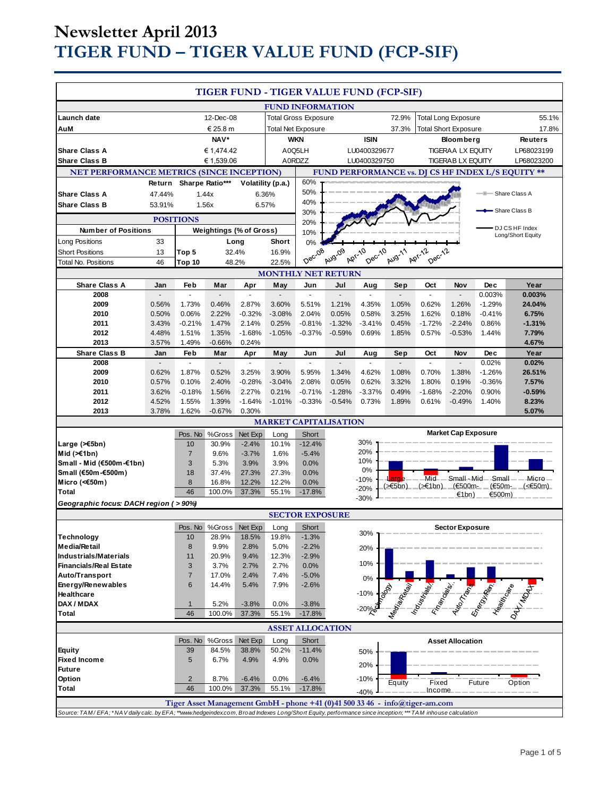# **Newsletter April 2013 TIGER FUND – TIGER VALUE FUND (FCP-SIF)**

|                                                                                                                                                                                                                                          |                |                       |                 |                          |                           |                             |                              |                         | TIGER FUND - TIGER VALUE FUND (FCP-SIF) |                          |                            |                        |                                                   |
|------------------------------------------------------------------------------------------------------------------------------------------------------------------------------------------------------------------------------------------|----------------|-----------------------|-----------------|--------------------------|---------------------------|-----------------------------|------------------------------|-------------------------|-----------------------------------------|--------------------------|----------------------------|------------------------|---------------------------------------------------|
|                                                                                                                                                                                                                                          |                |                       |                 |                          | <b>FUND INFORMATION</b>   |                             |                              |                         |                                         |                          |                            |                        |                                                   |
| Launch date                                                                                                                                                                                                                              |                |                       | 12-Dec-08       |                          |                           | <b>Total Gross Exposure</b> |                              |                         | 72.9%                                   |                          | <b>Total Long Exposure</b> |                        | 55.1%                                             |
| AuM                                                                                                                                                                                                                                      |                | € 25.8 m              |                 |                          | <b>Total Net Exposure</b> |                             | 37.3%                        |                         | <b>Total Short Exposure</b>             |                          | 17.8%                      |                        |                                                   |
|                                                                                                                                                                                                                                          |                | NAV*                  |                 |                          | <b>WKN</b>                |                             |                              | <b>ISIN</b>             |                                         |                          | <b>Bloomberg</b>           |                        | <b>Reuters</b>                                    |
| <b>Share Class A</b>                                                                                                                                                                                                                     |                | € 1,474.42            |                 |                          | A0Q5LH                    |                             |                              | LU0400329677            |                                         | <b>TIGERAA LX EQUITY</b> |                            | LP68023199             |                                                   |
| <b>Share Class B</b>                                                                                                                                                                                                                     |                |                       | € 1,539.06      |                          |                           | A0RDZZ                      |                              | LU0400329750            |                                         |                          | <b>TIGERAB LX EQUITY</b>   |                        | LP68023200                                        |
| NET PERFORMANCE METRICS (SINCE INCEPTION)                                                                                                                                                                                                |                |                       |                 |                          |                           |                             |                              |                         |                                         |                          |                            |                        | FUND PERFORMANCE vs. DJ CS HF INDEX L/S EQUITY ** |
|                                                                                                                                                                                                                                          | Return         |                       | Sharpe Ratio*** |                          | Volatility (p.a.)         | 60%                         |                              |                         |                                         |                          |                            |                        |                                                   |
| <b>Share Class A</b>                                                                                                                                                                                                                     | 47.44%         |                       | 1.44x           |                          | 6.36%                     | 50%                         |                              |                         |                                         |                          |                            |                        | Share Class A                                     |
| <b>Share Class B</b>                                                                                                                                                                                                                     | 53.91%         |                       | 1.56x           |                          | 6.57%                     | 40%                         |                              |                         |                                         |                          |                            |                        |                                                   |
| <b>POSITIONS</b>                                                                                                                                                                                                                         |                |                       |                 |                          | 30%                       |                             |                              |                         |                                         |                          |                            | • Share Class B        |                                                   |
| <b>Number of Positions</b><br><b>Weightings (% of Gross)</b>                                                                                                                                                                             |                |                       |                 | 20%                      |                           |                             |                              |                         |                                         |                          | DJ CS HF Index             |                        |                                                   |
|                                                                                                                                                                                                                                          |                |                       |                 |                          |                           | 10%                         |                              |                         |                                         |                          |                            |                        | Long/Short Equity                                 |
| Long Positions<br><b>Short Positions</b>                                                                                                                                                                                                 | 33             |                       | 32.4%           | Long                     | Short<br>16.9%            | 0%                          |                              |                         |                                         |                          |                            |                        |                                                   |
|                                                                                                                                                                                                                                          | 13             | Top 5                 |                 |                          |                           | Dec-08                      | Aug-09                       | <b>Apr-10</b><br>Dec-10 | Aug-11                                  | Apr-12<br>Dec-12         |                            |                        |                                                   |
| 22.5%<br>Total No. Positions<br>46<br>48.2%<br>Top 10<br><b>MONTHLY NET RETURN</b>                                                                                                                                                       |                |                       |                 |                          |                           |                             |                              |                         |                                         |                          |                            |                        |                                                   |
| <b>Share Class A</b>                                                                                                                                                                                                                     | Jan            | Feb                   | Mar             | Apr                      | May                       | Jun                         | Jul                          | Aug                     | Sep                                     | Oct                      | Nov                        | <b>Dec</b>             | Year                                              |
| 2008                                                                                                                                                                                                                                     | $\overline{a}$ | $\overline{a}$        | $\overline{a}$  | $\overline{\phantom{a}}$ | $\blacksquare$            | ä,                          | $\overline{a}$               |                         | ÷.                                      | $\overline{a}$           |                            | 0.003%                 | 0.003%                                            |
| 2009                                                                                                                                                                                                                                     | 0.56%          | 1.73%                 | 0.46%           | 2.87%                    | 3.60%                     | 5.51%                       | 1.21%                        | 4.35%                   | 1.05%                                   | 0.62%                    | 1.26%                      | $-1.29%$               | 24.04%                                            |
| 2010                                                                                                                                                                                                                                     | 0.50%          | 0.06%                 | 2.22%           | $-0.32%$                 | $-3.08%$                  | 2.04%                       | 0.05%                        | 0.58%                   | 3.25%                                   | 1.62%                    | 0.18%                      | $-0.41%$               | 6.75%                                             |
| 2011                                                                                                                                                                                                                                     | 3.43%          | $-0.21%$              | 1.47%           | 2.14%                    | 0.25%                     | $-0.81%$                    | $-1.32%$                     | $-3.41%$                | 0.45%                                   | $-1.72%$                 | $-2.24%$                   | 0.86%                  | $-1.31%$                                          |
| 2012                                                                                                                                                                                                                                     | 4.48%          | 1.51%                 | 1.35%           | $-1.68%$                 | $-1.05%$                  | $-0.37%$                    | $-0.59%$                     | 0.69%                   | 1.85%                                   | 0.57%                    | $-0.53%$                   | 1.44%                  | 7.79%                                             |
| 2013                                                                                                                                                                                                                                     | 3.57%          | 1.49%                 | $-0.66%$        | 0.24%                    |                           |                             |                              |                         |                                         |                          |                            |                        | 4.67%                                             |
| <b>Share Class B</b>                                                                                                                                                                                                                     | Jan            | Feb                   | Mar             | Apr                      | May                       | Jun                         | Jul                          | Aug                     | Sep                                     | Oct                      | Nov                        | <b>Dec</b>             | Year                                              |
| 2008<br>2009                                                                                                                                                                                                                             | 0.62%          | $\mathbf{r}$<br>1.87% | 0.52%           | 3.25%                    | 3.90%                     | 5.95%                       | 1.34%                        | 4.62%                   | 1.08%                                   | 0.70%                    | 1.38%                      | 0.02%<br>$-1.26%$      | 0.02%<br>26.51%                                   |
| 2010                                                                                                                                                                                                                                     | 0.57%          | 0.10%                 | 2.40%           | $-0.28%$                 | $-3.04%$                  | 2.08%                       | 0.05%                        | 0.62%                   | 3.32%                                   | 1.80%                    | 0.19%                      | $-0.36%$               | 7.57%                                             |
| 2011                                                                                                                                                                                                                                     | 3.62%          | $-0.18%$              | 1.56%           | 2.27%                    | 0.21%                     | $-0.71%$                    | $-1.28%$                     | $-3.37%$                | 0.49%                                   | $-1.68%$                 | $-2.20%$                   | 0.90%                  | $-0.59%$                                          |
| 2012                                                                                                                                                                                                                                     | 4.52%          | 1.55%                 | 1.39%           | $-1.64%$                 | $-1.01%$                  | $-0.33%$                    | $-0.54%$                     | 0.73%                   | 1.89%                                   | 0.61%                    | $-0.49%$                   | 1.40%                  | 8.23%                                             |
| 2013                                                                                                                                                                                                                                     | 3.78%          | 1.62%                 | $-0.67%$        | 0.30%                    |                           |                             |                              |                         |                                         |                          |                            |                        | 5.07%                                             |
|                                                                                                                                                                                                                                          |                |                       |                 |                          |                           |                             | <b>MARKET CAPITALISATION</b> |                         |                                         |                          |                            |                        |                                                   |
|                                                                                                                                                                                                                                          |                |                       | Pos. No %Gross  | Net Exp                  | Long                      | Short                       |                              |                         |                                         |                          | <b>Market Cap Exposure</b> |                        |                                                   |
| Large $($ $\leq$ 5bn)                                                                                                                                                                                                                    |                | 10                    | 30.9%           | $-2.4%$                  | 10.1%                     | $-12.4%$                    |                              | 30%                     |                                         |                          |                            |                        |                                                   |
| Mid $(\geq 1$ bn)                                                                                                                                                                                                                        |                | $\overline{7}$        | 9.6%            | $-3.7%$                  | 1.6%                      | $-5.4%$                     |                              | 20%                     |                                         |                          |                            |                        |                                                   |
| Small - Mid (€500m-€1bn)                                                                                                                                                                                                                 |                | 3                     | 5.3%            | 3.9%                     | 3.9%                      | 0.0%                        |                              | 10%<br>0%               |                                         |                          |                            |                        |                                                   |
| Small (€50m-€500m)                                                                                                                                                                                                                       |                | 18                    | 37.4%           | 27.3%                    | 27.3%                     | 0.0%                        |                              | $-10%$                  |                                         | Mid                      |                            | - Small - Mid- - Small | - Micro —                                         |
| Micro (<€50m)                                                                                                                                                                                                                            |                | 8<br>46               | 16.8%           | 12.2%                    | 12.2%                     | 0.0%                        |                              | -20%                    | $($ > $\in$ 5bn)                        | $($ > $\in$ 1bn)         | – (€500m-                  | (€50m-                 | (<€50m)                                           |
| <b>Total</b>                                                                                                                                                                                                                             |                |                       | 100.0%          | 37.3%                    | 55.1%                     | $-17.8%$                    |                              | $-30%$                  |                                         |                          | €1bn)                      | €500m)                 |                                                   |
| Geographic focus: DACH region ( > 90%)                                                                                                                                                                                                   |                |                       |                 |                          |                           |                             |                              |                         |                                         |                          |                            |                        |                                                   |
| <b>SECTOR EXPOSURE</b><br>Pos. No %Gross Net Exp                                                                                                                                                                                         |                |                       |                 |                          |                           |                             |                              |                         |                                         |                          |                            |                        |                                                   |
| <b>Technology</b>                                                                                                                                                                                                                        |                |                       |                 | 18.5%                    | Long<br>19.8%             | Short                       |                              | 30%                     |                                         |                          | <b>Sector Exposure</b>     |                        |                                                   |
| Media/Retail                                                                                                                                                                                                                             |                | 10<br>8               | 28.9%<br>9.9%   | 2.8%                     | 5.0%                      | $-1.3%$<br>$-2.2%$          |                              |                         |                                         |                          |                            |                        |                                                   |
| <b>Industrials/Materials</b>                                                                                                                                                                                                             |                | 11                    | 20.9%           | 9.4%                     | 12.3%                     | $-2.9%$                     |                              | 20%                     |                                         |                          |                            |                        |                                                   |
| <b>Financials/Real Estate</b>                                                                                                                                                                                                            |                | 3                     | 3.7%            | 2.7%                     | 2.7%                      | 0.0%                        |                              | 10%                     |                                         |                          |                            |                        |                                                   |
| Auto/Transport                                                                                                                                                                                                                           |                | $\overline{7}$        | 17.0%           | 2.4%                     | 7.4%                      | $-5.0%$                     |                              | 0%                      |                                         |                          |                            |                        |                                                   |
| Energy/Renewables                                                                                                                                                                                                                        |                | 6                     | 14.4%           | 5.4%                     | 7.9%                      | $-2.6%$                     |                              |                         |                                         |                          |                            |                        |                                                   |
| Healthcare                                                                                                                                                                                                                               |                |                       |                 |                          |                           |                             |                              | $-10%$                  |                                         |                          |                            |                        |                                                   |
| DAX / MDAX                                                                                                                                                                                                                               |                | $\mathbf{1}$          | 5.2%            | $-3.8%$                  | 0.0%                      | $-3.8%$                     |                              | $-20%$                  |                                         |                          |                            |                        |                                                   |
| <b>Total</b>                                                                                                                                                                                                                             |                | 46                    | 100.0%          | 37.3%                    | 55.1%                     | $-17.8%$                    |                              |                         |                                         |                          |                            |                        |                                                   |
|                                                                                                                                                                                                                                          |                |                       |                 |                          |                           | <b>ASSET ALLOCATION</b>     |                              |                         |                                         |                          |                            |                        |                                                   |
|                                                                                                                                                                                                                                          |                |                       | Pos. No %Gross  | Net Exp                  | Long                      | Short                       |                              |                         |                                         |                          | <b>Asset Allocation</b>    |                        |                                                   |
| <b>Equity</b>                                                                                                                                                                                                                            |                | 39                    | 84.5%           | 38.8%                    | 50.2%                     | $-11.4%$                    |                              | 50%                     |                                         |                          |                            |                        |                                                   |
| <b>Fixed Income</b>                                                                                                                                                                                                                      |                | 5                     | 6.7%            | 4.9%                     | 4.9%                      | 0.0%                        |                              | 20%                     |                                         |                          |                            |                        |                                                   |
| <b>Future</b>                                                                                                                                                                                                                            |                |                       |                 |                          |                           |                             |                              |                         |                                         |                          |                            |                        |                                                   |
| Option                                                                                                                                                                                                                                   |                | $\overline{2}$<br>46  | 8.7%            | $-6.4%$                  | 0.0%                      | $-6.4%$                     |                              | $-10%$                  | Equity                                  | Fixed                    |                            | Future                 | Option                                            |
| <b>Total</b>                                                                                                                                                                                                                             |                |                       | 100.0%          | 37.3%                    | 55.1%                     | $-17.8%$                    |                              | $-40%$                  |                                         | Income                   |                            |                        |                                                   |
| Tiger Asset Management GmbH - phone +41 (0)41 500 33 46 - info@tiger-am.com<br>Source: TAM/EFA; *NAV daily calc. by EFA; **www.hedgeindex.com, Broad Indexes Long/Short Equity, performance since inception; *** TAM inhouse calculation |                |                       |                 |                          |                           |                             |                              |                         |                                         |                          |                            |                        |                                                   |
|                                                                                                                                                                                                                                          |                |                       |                 |                          |                           |                             |                              |                         |                                         |                          |                            |                        |                                                   |
|                                                                                                                                                                                                                                          |                |                       |                 |                          |                           |                             |                              |                         |                                         |                          |                            |                        |                                                   |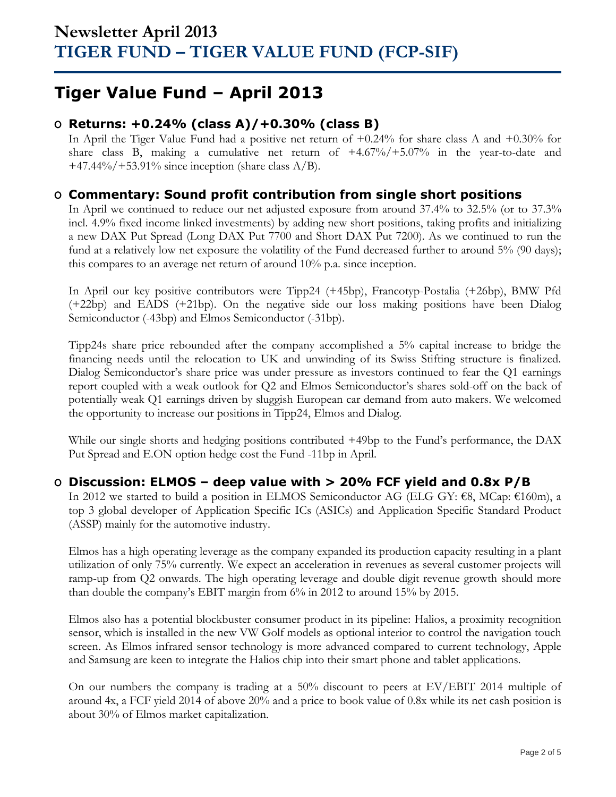# **Tiger Value Fund – April 2013**

## **O Returns: +0.24% (class A)/+0.30% (class B)**

In April the Tiger Value Fund had a positive net return of +0.24% for share class A and +0.30% for share class B, making a cumulative net return of  $+4.67\%/+5.07\%$  in the year-to-date and  $+47.44\%/+53.91\%$  since inception (share class A/B).

## **O Commentary: Sound profit contribution from single short positions**

In April we continued to reduce our net adjusted exposure from around 37.4% to 32.5% (or to 37.3% incl. 4.9% fixed income linked investments) by adding new short positions, taking profits and initializing a new DAX Put Spread (Long DAX Put 7700 and Short DAX Put 7200). As we continued to run the fund at a relatively low net exposure the volatility of the Fund decreased further to around 5% (90 days); this compares to an average net return of around 10% p.a. since inception.

In April our key positive contributors were Tipp24 (+45bp), Francotyp-Postalia (+26bp), BMW Pfd (+22bp) and EADS (+21bp). On the negative side our loss making positions have been Dialog Semiconductor (-43bp) and Elmos Semiconductor (-31bp).

Tipp24s share price rebounded after the company accomplished a 5% capital increase to bridge the financing needs until the relocation to UK and unwinding of its Swiss Stifting structure is finalized. Dialog Semiconductor's share price was under pressure as investors continued to fear the Q1 earnings report coupled with a weak outlook for Q2 and Elmos Semiconductor's shares sold-off on the back of potentially weak Q1 earnings driven by sluggish European car demand from auto makers. We welcomed the opportunity to increase our positions in Tipp24, Elmos and Dialog.

While our single shorts and hedging positions contributed +49bp to the Fund's performance, the DAX Put Spread and E.ON option hedge cost the Fund -11bp in April.

## **O Discussion: ELMOS – deep value with > 20% FCF yield and 0.8x P/B**

In 2012 we started to build a position in ELMOS Semiconductor AG (ELG GY: €8, MCap: €160m), a top 3 global developer of Application Specific ICs (ASICs) and Application Specific Standard Product (ASSP) mainly for the automotive industry.

Elmos has a high operating leverage as the company expanded its production capacity resulting in a plant utilization of only 75% currently. We expect an acceleration in revenues as several customer projects will ramp-up from Q2 onwards. The high operating leverage and double digit revenue growth should more than double the company's EBIT margin from 6% in 2012 to around 15% by 2015.

Elmos also has a potential blockbuster consumer product in its pipeline: Halios, a proximity recognition sensor, which is installed in the new VW Golf models as optional interior to control the navigation touch screen. As Elmos infrared sensor technology is more advanced compared to current technology, Apple and Samsung are keen to integrate the Halios chip into their smart phone and tablet applications.

On our numbers the company is trading at a 50% discount to peers at EV/EBIT 2014 multiple of around 4x, a FCF yield 2014 of above 20% and a price to book value of 0.8x while its net cash position is about 30% of Elmos market capitalization.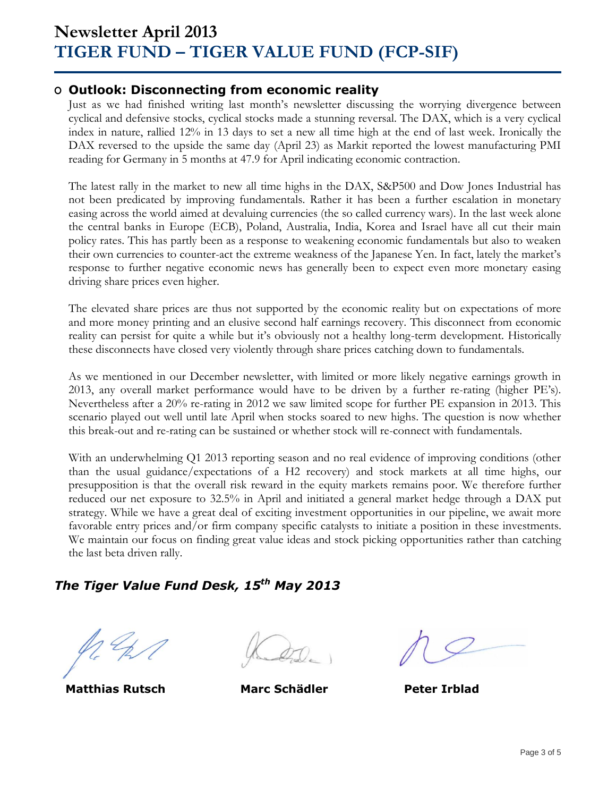### **O Outlook: Disconnecting from economic reality**

Just as we had finished writing last month's newsletter discussing the worrying divergence between cyclical and defensive stocks, cyclical stocks made a stunning reversal. The DAX, which is a very cyclical index in nature, rallied 12% in 13 days to set a new all time high at the end of last week. Ironically the DAX reversed to the upside the same day (April 23) as Markit reported the lowest manufacturing PMI reading for Germany in 5 months at 47.9 for April indicating economic contraction.

The latest rally in the market to new all time highs in the DAX, S&P500 and Dow Jones Industrial has not been predicated by improving fundamentals. Rather it has been a further escalation in monetary easing across the world aimed at devaluing currencies (the so called currency wars). In the last week alone the central banks in Europe (ECB), Poland, Australia, India, Korea and Israel have all cut their main policy rates. This has partly been as a response to weakening economic fundamentals but also to weaken their own currencies to counter-act the extreme weakness of the Japanese Yen. In fact, lately the market's response to further negative economic news has generally been to expect even more monetary easing driving share prices even higher.

The elevated share prices are thus not supported by the economic reality but on expectations of more and more money printing and an elusive second half earnings recovery. This disconnect from economic reality can persist for quite a while but it's obviously not a healthy long-term development. Historically these disconnects have closed very violently through share prices catching down to fundamentals.

As we mentioned in our December newsletter, with limited or more likely negative earnings growth in 2013, any overall market performance would have to be driven by a further re-rating (higher PE's). Nevertheless after a 20% re-rating in 2012 we saw limited scope for further PE expansion in 2013. This scenario played out well until late April when stocks soared to new highs. The question is now whether this break-out and re-rating can be sustained or whether stock will re-connect with fundamentals.

With an underwhelming Q1 2013 reporting season and no real evidence of improving conditions (other than the usual guidance/expectations of a H2 recovery) and stock markets at all time highs, our presupposition is that the overall risk reward in the equity markets remains poor. We therefore further reduced our net exposure to 32.5% in April and initiated a general market hedge through a DAX put strategy. While we have a great deal of exciting investment opportunities in our pipeline, we await more favorable entry prices and/or firm company specific catalysts to initiate a position in these investments. We maintain our focus on finding great value ideas and stock picking opportunities rather than catching the last beta driven rally.

# *The Tiger Value Fund Desk, 15 th May 2013*

**Matthias Rutsch Marc Schädler Peter Irblad**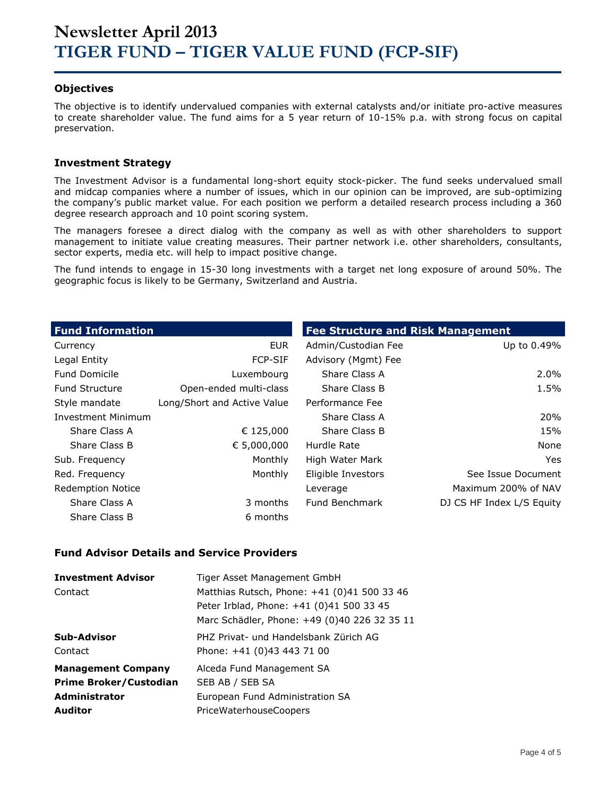### **Objectives**

The objective is to identify undervalued companies with external catalysts and/or initiate pro-active measures to create shareholder value. The fund aims for a 5 year return of 10-15% p.a. with strong focus on capital preservation.

### **Investment Strategy**

The Investment Advisor is a fundamental long-short equity stock-picker. The fund seeks undervalued small and midcap companies where a number of issues, which in our opinion can be improved, are sub-optimizing the company's public market value. For each position we perform a detailed research process including a 360 degree research approach and 10 point scoring system.

The managers foresee a direct dialog with the company as well as with other shareholders to support management to initiate value creating measures. Their partner network i.e. other shareholders, consultants, sector experts, media etc. will help to impact positive change.

The fund intends to engage in 15-30 long investments with a target net long exposure of around 50%. The geographic focus is likely to be Germany, Switzerland and Austria.

| <b>Fund Information</b>   |                             | <b>Fee Structure and Risk Management</b> |                           |
|---------------------------|-----------------------------|------------------------------------------|---------------------------|
| Currency                  | EUR                         | Admin/Custodian Fee                      | Up to 0.49%               |
| Legal Entity              | <b>FCP-SIF</b>              | Advisory (Mgmt) Fee                      |                           |
| <b>Fund Domicile</b>      | Luxembourg                  | Share Class A                            | $2.0\%$                   |
| <b>Fund Structure</b>     | Open-ended multi-class      | Share Class B                            | 1.5%                      |
| Style mandate             | Long/Short and Active Value | Performance Fee                          |                           |
| <b>Investment Minimum</b> |                             | Share Class A                            | 20%                       |
| Share Class A             | € 125,000                   | Share Class B                            | 15%                       |
| Share Class B             | € 5,000,000                 | Hurdle Rate                              | None                      |
| Sub. Frequency            | Monthly                     | High Water Mark                          | Yes                       |
| Red. Frequency            | Monthly                     | Eligible Investors                       | See Issue Document        |
| <b>Redemption Notice</b>  |                             | Leverage                                 | Maximum 200% of NAV       |
| Share Class A             | 3 months                    | Fund Benchmark                           | DJ CS HF Index L/S Equity |
| Share Class B             | 6 months                    |                                          |                           |

#### **Fund Advisor Details and Service Providers**

| <b>Investment Advisor</b>     | Tiger Asset Management GmbH                  |
|-------------------------------|----------------------------------------------|
| Contact                       | Matthias Rutsch, Phone: +41 (0)41 500 33 46  |
|                               | Peter Irblad, Phone: +41 (0)41 500 33 45     |
|                               | Marc Schädler, Phone: +49 (0)40 226 32 35 11 |
| Sub-Advisor                   | PHZ Privat- und Handelsbank Zürich AG        |
| Contact                       | Phone: +41 (0)43 443 71 00                   |
| <b>Management Company</b>     | Alceda Fund Management SA                    |
| <b>Prime Broker/Custodian</b> | SEB AB / SEB SA                              |
| Administrator                 | European Fund Administration SA              |
| <b>Auditor</b>                | <b>PriceWaterhouseCoopers</b>                |